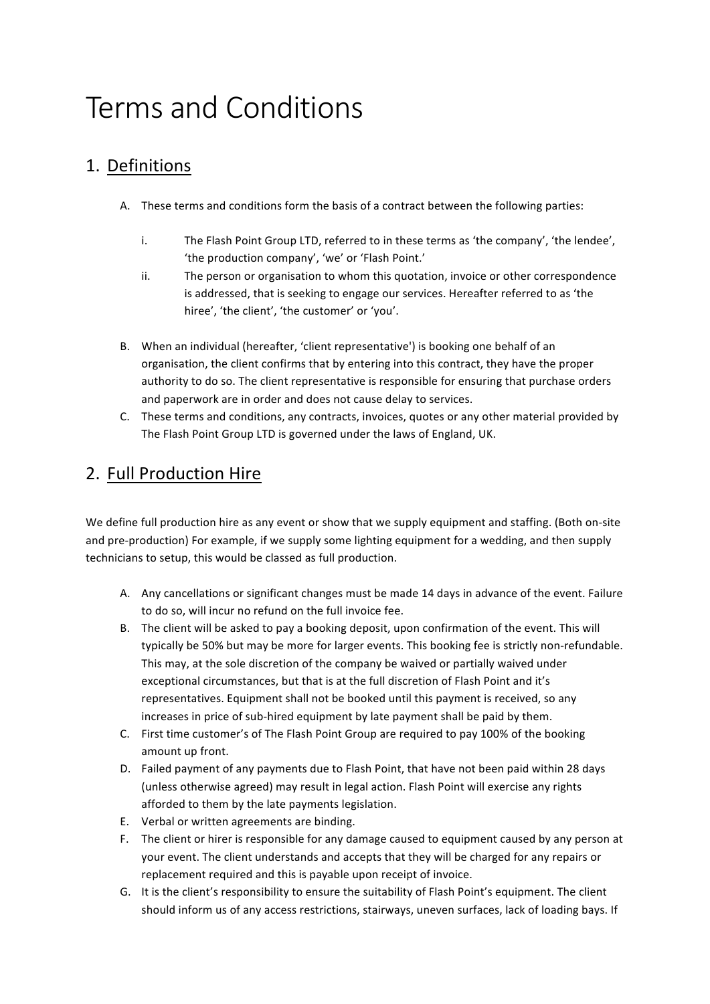# Terms and Conditions

## 1. Definitions

- A. These terms and conditions form the basis of a contract between the following parties:
	- i. The Flash Point Group LTD, referred to in these terms as 'the company', 'the lendee', 'the production company', 'we' or 'Flash Point.'
	- ii. The person or organisation to whom this quotation, invoice or other correspondence is addressed, that is seeking to engage our services. Hereafter referred to as 'the hiree', 'the client', 'the customer' or 'you'.
- B. When an individual (hereafter, 'client representative') is booking one behalf of an organisation, the client confirms that by entering into this contract, they have the proper authority to do so. The client representative is responsible for ensuring that purchase orders and paperwork are in order and does not cause delay to services.
- C. These terms and conditions, any contracts, invoices, quotes or any other material provided by The Flash Point Group LTD is governed under the laws of England, UK.

# 2. Full Production Hire

We define full production hire as any event or show that we supply equipment and staffing. (Both on-site and pre-production) For example, if we supply some lighting equipment for a wedding, and then supply technicians to setup, this would be classed as full production.

- A. Any cancellations or significant changes must be made 14 days in advance of the event. Failure to do so, will incur no refund on the full invoice fee.
- B. The client will be asked to pay a booking deposit, upon confirmation of the event. This will typically be 50% but may be more for larger events. This booking fee is strictly non-refundable. This may, at the sole discretion of the company be waived or partially waived under exceptional circumstances, but that is at the full discretion of Flash Point and it's representatives. Equipment shall not be booked until this payment is received, so any increases in price of sub-hired equipment by late payment shall be paid by them.
- C. First time customer's of The Flash Point Group are required to pay 100% of the booking amount up front.
- D. Failed payment of any payments due to Flash Point, that have not been paid within 28 days (unless otherwise agreed) may result in legal action. Flash Point will exercise any rights afforded to them by the late payments legislation.
- E. Verbal or written agreements are binding.
- F. The client or hirer is responsible for any damage caused to equipment caused by any person at your event. The client understands and accepts that they will be charged for any repairs or replacement required and this is payable upon receipt of invoice.
- G. It is the client's responsibility to ensure the suitability of Flash Point's equipment. The client should inform us of any access restrictions, stairways, uneven surfaces, lack of loading bays. If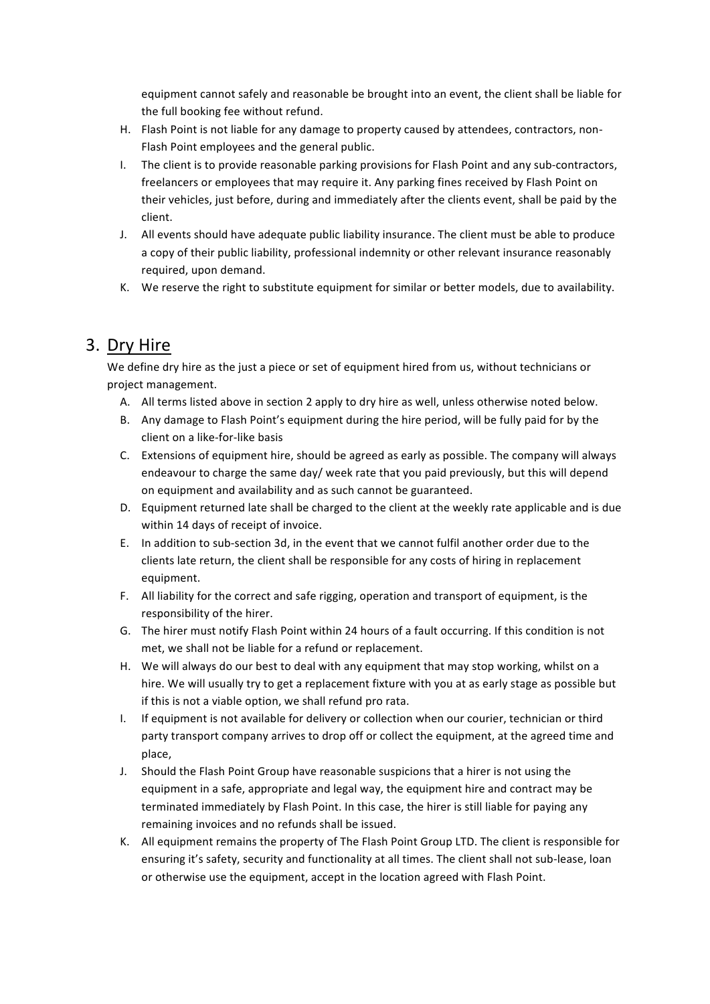equipment cannot safely and reasonable be brought into an event, the client shall be liable for the full booking fee without refund.

- H. Flash Point is not liable for any damage to property caused by attendees, contractors, non-Flash Point employees and the general public.
- I. The client is to provide reasonable parking provisions for Flash Point and any sub-contractors, freelancers or employees that may require it. Any parking fines received by Flash Point on their vehicles, just before, during and immediately after the clients event, shall be paid by the client.
- J. All events should have adequate public liability insurance. The client must be able to produce a copy of their public liability, professional indemnity or other relevant insurance reasonably required, upon demand.
- K. We reserve the right to substitute equipment for similar or better models, due to availability.

#### 3. Dry Hire

We define dry hire as the just a piece or set of equipment hired from us, without technicians or project management.

- A. All terms listed above in section 2 apply to dry hire as well, unless otherwise noted below.
- B. Any damage to Flash Point's equipment during the hire period, will be fully paid for by the client on a like-for-like basis
- C. Extensions of equipment hire, should be agreed as early as possible. The company will always endeavour to charge the same day/ week rate that you paid previously, but this will depend on equipment and availability and as such cannot be guaranteed.
- D. Equipment returned late shall be charged to the client at the weekly rate applicable and is due within 14 days of receipt of invoice.
- E. In addition to sub-section 3d, in the event that we cannot fulfil another order due to the clients late return, the client shall be responsible for any costs of hiring in replacement equipment.
- F. All liability for the correct and safe rigging, operation and transport of equipment, is the responsibility of the hirer.
- G. The hirer must notify Flash Point within 24 hours of a fault occurring. If this condition is not met, we shall not be liable for a refund or replacement.
- H. We will always do our best to deal with any equipment that may stop working, whilst on a hire. We will usually try to get a replacement fixture with you at as early stage as possible but if this is not a viable option, we shall refund pro rata.
- I. If equipment is not available for delivery or collection when our courier, technician or third party transport company arrives to drop off or collect the equipment, at the agreed time and place,
- J. Should the Flash Point Group have reasonable suspicions that a hirer is not using the equipment in a safe, appropriate and legal way, the equipment hire and contract may be terminated immediately by Flash Point. In this case, the hirer is still liable for paying any remaining invoices and no refunds shall be issued.
- K. All equipment remains the property of The Flash Point Group LTD. The client is responsible for ensuring it's safety, security and functionality at all times. The client shall not sub-lease, loan or otherwise use the equipment, accept in the location agreed with Flash Point.